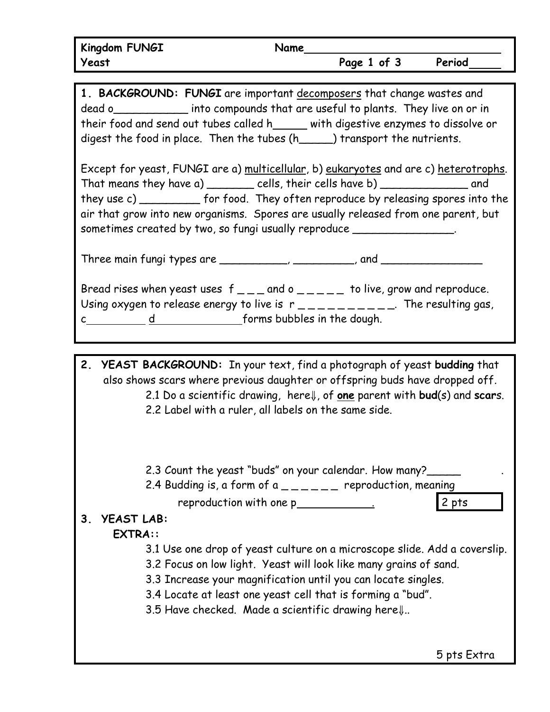**1. BACKGROUND: FUNGI** are important decomposers that change wastes and dead o\_\_\_\_\_\_\_\_\_\_\_ into compounds that are useful to plants. They live on or in their food and send out tubes called h with digestive enzymes to dissolve or digest the food in place. Then the tubes (h\_\_\_\_\_) transport the nutrients.

Except for yeast, FUNGI are a) multicellular, b) eukaryotes and are c) heterotrophs. That means they have a) \_\_\_\_\_\_\_\_ cells, their cells have b) \_\_\_\_\_\_\_\_\_\_\_\_\_ and they use c) they for food. They often reproduce by releasing spores into the air that grow into new organisms. Spores are usually released from one parent, but sometimes created by two, so fungi usually reproduce \_\_\_\_\_\_\_\_\_\_\_\_\_\_\_\_\_\_\_\_\_\_\_\_\_\_\_

Three main fungi types are \_\_\_\_\_\_\_\_\_\_\_, \_\_\_\_\_\_\_\_, and \_\_\_\_\_\_\_\_\_\_\_\_\_\_\_\_\_\_\_\_\_\_\_\_\_\_\_

Bread rises when yeast uses  $f_{\text{max}}$  and  $o_{\text{max}}$  to live, grow and reproduce. Using oxygen to release energy to live is  $r_{-}$   $\mu_{-}$   $\mu_{-}$   $\mu_{-}$   $\mu_{-}$ . The resulting gas, c d forms bubbles in the dough.

**2. YEAST BACKGROUND:** In your text, find a photograph of yeast **budding** that also shows scars where previous daughter or offspring buds have dropped off. 2.1 Do a scientific drawing, here⇓, of **one** parent with **bud**(s) and **scar**s. 2.2 Label with a ruler, all labels on the same side.

2.3 Count the yeast "buds" on your calendar. How many?

2.4 Budding is, a form of a  $\frac{1}{2}$  =  $\frac{1}{2}$  reproduction, meaning

reproduction with one p . 2 pts

## **3. YEAST LAB:**

## **EXTRA::**

- 3.1 Use one drop of yeast culture on a microscope slide. Add a coverslip.
- 3.2 Focus on low light. Yeast will look like many grains of sand.
- 3.3 Increase your magnification until you can locate singles.
- 3.4 Locate at least one yeast cell that is forming a "bud".

3.5 Have checked. Made a scientific drawing here⇓..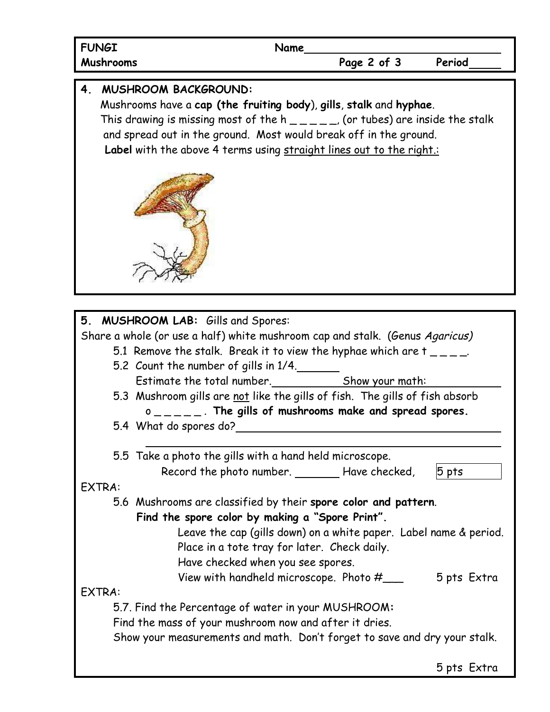| <b>FUNGI</b>                                                                                                                                                                                                                                                                                                                                        | Name                                                                                                                                                                                                                                                                                                           |             |                        |
|-----------------------------------------------------------------------------------------------------------------------------------------------------------------------------------------------------------------------------------------------------------------------------------------------------------------------------------------------------|----------------------------------------------------------------------------------------------------------------------------------------------------------------------------------------------------------------------------------------------------------------------------------------------------------------|-------------|------------------------|
| Mushrooms                                                                                                                                                                                                                                                                                                                                           |                                                                                                                                                                                                                                                                                                                | Page 2 of 3 | Period                 |
| <b>MUSHROOM BACKGROUND:</b><br>4.<br>Mushrooms have a cap (the fruiting body), gills, stalk and hyphae.<br>This drawing is missing most of the h $\rule{1em}{0.15mm}$ (or tubes) are inside the stalk<br>and spread out in the ground. Most would break off in the ground.<br>Label with the above 4 terms using straight lines out to the right.:  |                                                                                                                                                                                                                                                                                                                |             |                        |
| 5. MUSHROOM LAB: Gills and Spores:<br>Share a whole (or use a half) white mushroom cap and stalk. (Genus Agaricus)<br>5.1 Remove the stalk. Break it to view the hyphae which are $t_{-}$ $=$ $-$<br>5.2 Count the number of gills in 1/4.<br>5.3 Mushroom gills are not like the gills of fish. The gills of fish absorb<br>5.4 What do spores do? | Estimate the total number.<br>Show your math:<br>$0 \quad 0 \quad - \quad - \quad -$ . The gills of mushrooms make and spread spores.                                                                                                                                                                          |             |                        |
| 5.5 Take a photo the gills with a hand held microscope.<br>EXTRA:<br>5.6 Mushrooms are classified by their spore color and pattern.<br><b>EXTRA:</b><br>5.7. Find the Percentage of water in your MUSHROOM:<br>Find the mass of your mushroom now and after it dries.<br>Show your measurements and math. Don't forget to save and dry your stalk.  | Record the photo number. ________ Have checked,<br>Find the spore color by making a "Spore Print".<br>Leave the cap (gills down) on a white paper. Label name & period.<br>Place in a tote tray for later. Check daily.<br>Have checked when you see spores.<br>View with handheld microscope. Photo $\#$ ____ |             | $5$ pts<br>5 pts Extra |
|                                                                                                                                                                                                                                                                                                                                                     |                                                                                                                                                                                                                                                                                                                |             | 5 pts Extra            |